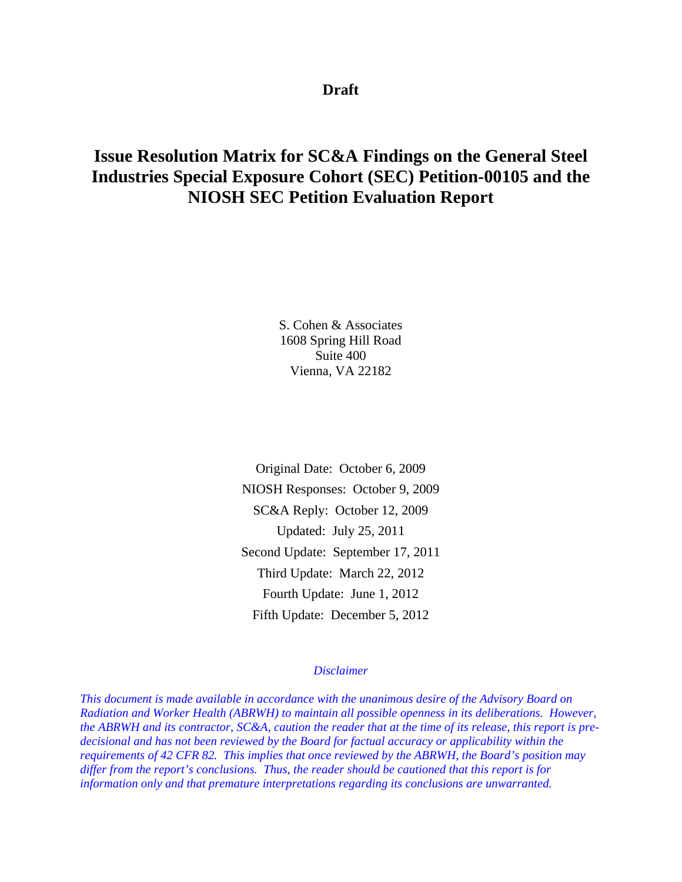# **Draft**

# **Issue Resolution Matrix for SC&A Findings on the General Steel Industries Special Exposure Cohort (SEC) Petition-00105 and the NIOSH SEC Petition Evaluation Report**

S. Cohen & Associates 1608 Spring Hill Road Suite 400 Vienna, VA 22182

Original Date: October 6, 2009 NIOSH Responses: October 9, 2009 SC&A Reply: October 12, 2009 Updated: July 25, 2011 Second Update: September 17, 2011 Third Update: March 22, 2012 Fourth Update: June 1, 2012 Fifth Update: December 5, 2012

#### *Disclaimer*

*This document is made available in accordance with the unanimous desire of the Advisory Board on Radiation and Worker Health (ABRWH) to maintain all possible openness in its deliberations. However, the ABRWH and its contractor, SC&A, caution the reader that at the time of its release, this report is predecisional and has not been reviewed by the Board for factual accuracy or applicability within the requirements of 42 CFR 82. This implies that once reviewed by the ABRWH, the Board's position may differ from the report's conclusions. Thus, the reader should be cautioned that this report is for information only and that premature interpretations regarding its conclusions are unwarranted.*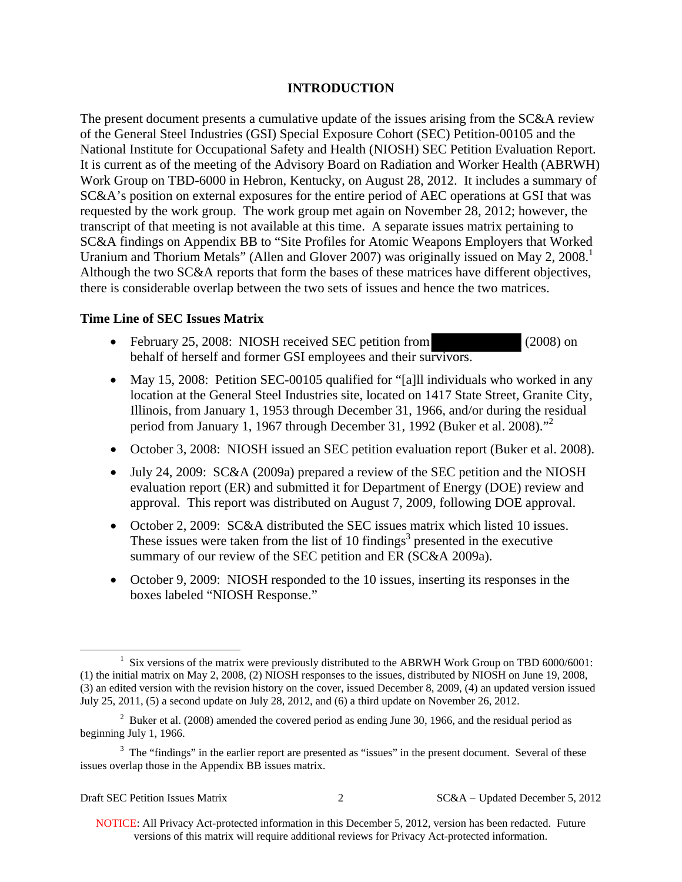# **INTRODUCTION**

Uranium and Thorium Metals" (Allen and Glover 2007) was originally issued on May 2, 2008.<sup>1</sup> The present document presents a cumulative update of the issues arising from the SC&A review of the General Steel Industries (GSI) Special Exposure Cohort (SEC) Petition-00105 and the National Institute for Occupational Safety and Health (NIOSH) SEC Petition Evaluation Report. It is current as of the meeting of the Advisory Board on Radiation and Worker Health (ABRWH) Work Group on TBD-6000 in Hebron, Kentucky, on August 28, 2012. It includes a summary of SC&A's position on external exposures for the entire period of AEC operations at GSI that was requested by the work group. The work group met again on November 28, 2012; however, the transcript of that meeting is not available at this time. A separate issues matrix pertaining to SC&A findings on Appendix BB to "Site Profiles for Atomic Weapons Employers that Worked Although the two SC&A reports that form the bases of these matrices have different objectives, there is considerable overlap between the two sets of issues and hence the two matrices.

# **Time Line of SEC Issues Matrix**

- February 25, 2008: NIOSH received SEC petition from (2008) on behalf of herself and former GSI employees and their survivors.
- period from January 1, 1967 through December 31, 1992 (Buker et al. 2008)."<sup>2</sup> • May 15, 2008: Petition SEC-00105 qualified for "[a]ll individuals who worked in any location at the General Steel Industries site, located on 1417 State Street, Granite City, Illinois, from January 1, 1953 through December 31, 1966, and/or during the residual
- October 3, 2008: NIOSH issued an SEC petition evaluation report (Buker et al. 2008).
- July 24, 2009: SC&A (2009a) prepared a review of the SEC petition and the NIOSH evaluation report (ER) and submitted it for Department of Energy (DOE) review and approval. This report was distributed on August 7, 2009, following DOE approval.
- October 2, 2009: SC&A distributed the SEC issues matrix which listed 10 issues. These issues were taken from the list of 10 findings<sup>3</sup> presented in the executive summary of our review of the SEC petition and ER (SC&A 2009a).
- October 9, 2009: NIOSH responded to the 10 issues, inserting its responses in the boxes labeled "NIOSH Response."

 $\overline{a}$ 

 (1) the initial matrix on May 2, 2008, (2) NIOSH responses to the issues, distributed by NIOSH on June 19, 2008, <sup>1</sup> Six versions of the matrix were previously distributed to the ABRWH Work Group on TBD 6000/6001: (3) an edited version with the revision history on the cover, issued December 8, 2009, (4) an updated version issued July 25, 2011, (5) a second update on July 28, 2012, and (6) a third update on November 26, 2012.

<sup>&</sup>lt;sup>2</sup> Buker et al. (2008) amended the covered period as ending June 30, 1966, and the residual period as beginning July 1, 1966.

 $3$  The "findings" in the earlier report are presented as "issues" in the present document. Several of these issues overlap those in the Appendix BB issues matrix.

Draft SEC Petition Issues Matrix 2 SC&A – Updated December 5, 2012

NOTICE: All Privacy Act-protected information in this December 5, 2012, version has been redacted. Future versions of this matrix will require additional reviews for Privacy Act-protected information.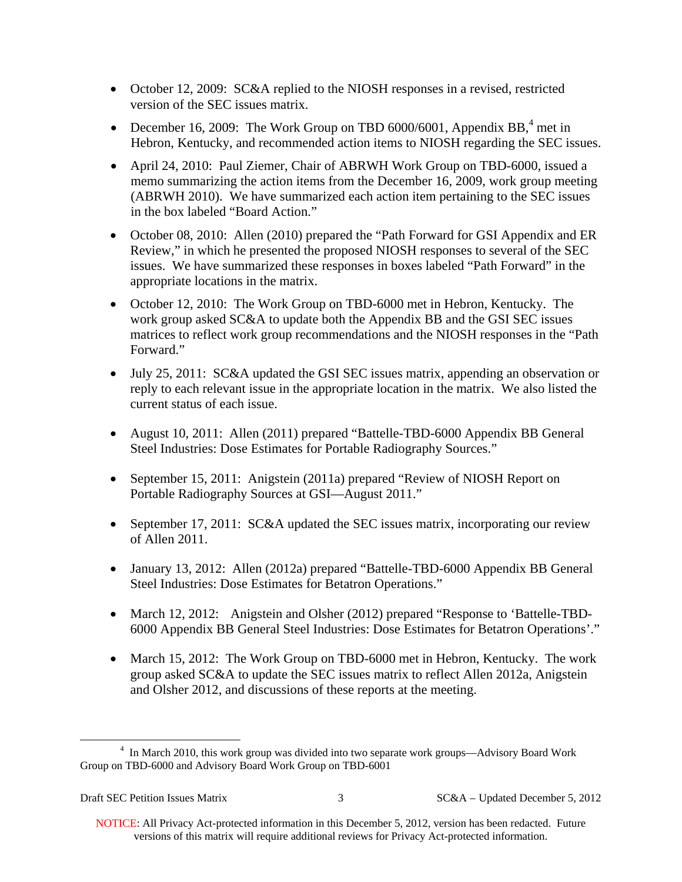- October 12, 2009: SC&A replied to the NIOSH responses in a revised, restricted version of the SEC issues matrix.
- December 16, 2009: The Work Group on TBD 6000/6001, Appendix BB, $4$  met in Hebron, Kentucky, and recommended action items to NIOSH regarding the SEC issues.
- April 24, 2010: Paul Ziemer, Chair of ABRWH Work Group on TBD-6000, issued a memo summarizing the action items from the December 16, 2009, work group meeting (ABRWH 2010). We have summarized each action item pertaining to the SEC issues in the box labeled "Board Action."
- October 08, 2010: Allen (2010) prepared the "Path Forward for GSI Appendix and ER Review," in which he presented the proposed NIOSH responses to several of the SEC issues. We have summarized these responses in boxes labeled "Path Forward" in the appropriate locations in the matrix.
- October 12, 2010: The Work Group on TBD-6000 met in Hebron, Kentucky. The work group asked SC&A to update both the Appendix BB and the GSI SEC issues matrices to reflect work group recommendations and the NIOSH responses in the "Path Forward."
- July 25, 2011: SC&A updated the GSI SEC issues matrix, appending an observation or reply to each relevant issue in the appropriate location in the matrix. We also listed the current status of each issue.
- August 10, 2011: Allen (2011) prepared "Battelle-TBD-6000 Appendix BB General Steel Industries: Dose Estimates for Portable Radiography Sources."
- September 15, 2011: Anigstein (2011a) prepared "Review of NIOSH Report on Portable Radiography Sources at GSI—August 2011."
- September 17, 2011: SC&A updated the SEC issues matrix, incorporating our review of Allen 2011.
- January 13, 2012: Allen (2012a) prepared "Battelle-TBD-6000 Appendix BB General Steel Industries: Dose Estimates for Betatron Operations."
- March 12, 2012: Anigstein and Olsher (2012) prepared "Response to 'Battelle-TBD-6000 Appendix BB General Steel Industries: Dose Estimates for Betatron Operations'."
- March 15, 2012: The Work Group on TBD-6000 met in Hebron, Kentucky. The work group asked SC&A to update the SEC issues matrix to reflect Allen 2012a, Anigstein and Olsher 2012, and discussions of these reports at the meeting.

 $\overline{a}$ 

<sup>&</sup>lt;sup>4</sup> In March 2010, this work group was divided into two separate work groups—Advisory Board Work Group on TBD-6000 and Advisory Board Work Group on TBD-6001

Draft SEC Petition Issues Matrix 3 SC&A – Updated December 5, 2012

NOTICE: All Privacy Act-protected information in this December 5, 2012, version has been redacted. Future versions of this matrix will require additional reviews for Privacy Act-protected information.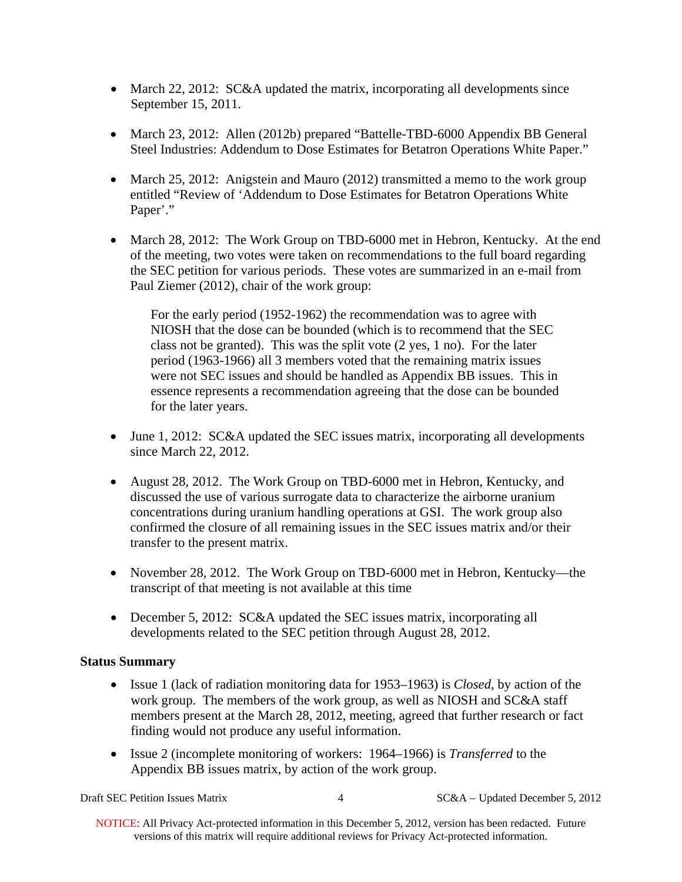- March 22, 2012: SC&A updated the matrix, incorporating all developments since September 15, 2011.
- March 23, 2012: Allen (2012b) prepared "Battelle-TBD-6000 Appendix BB General Steel Industries: Addendum to Dose Estimates for Betatron Operations White Paper."
- March 25, 2012: Anigstein and Mauro (2012) transmitted a memo to the work group entitled "Review of 'Addendum to Dose Estimates for Betatron Operations White Paper'."
- March 28, 2012: The Work Group on TBD-6000 met in Hebron, Kentucky. At the end of the meeting, two votes were taken on recommendations to the full board regarding the SEC petition for various periods. These votes are summarized in an e-mail from Paul Ziemer (2012), chair of the work group:

For the early period (1952-1962) the recommendation was to agree with NIOSH that the dose can be bounded (which is to recommend that the SEC class not be granted). This was the split vote (2 yes, 1 no). For the later period (1963-1966) all 3 members voted that the remaining matrix issues were not SEC issues and should be handled as Appendix BB issues. This in essence represents a recommendation agreeing that the dose can be bounded for the later years.

- June 1, 2012: SC&A updated the SEC issues matrix, incorporating all developments since March 22, 2012.
- August 28, 2012. The Work Group on TBD-6000 met in Hebron, Kentucky, and discussed the use of various surrogate data to characterize the airborne uranium concentrations during uranium handling operations at GSI. The work group also confirmed the closure of all remaining issues in the SEC issues matrix and/or their transfer to the present matrix.
- November 28, 2012. The Work Group on TBD-6000 met in Hebron, Kentucky—the transcript of that meeting is not available at this time
- December 5, 2012: SC&A updated the SEC issues matrix, incorporating all developments related to the SEC petition through August 28, 2012.

# **Status Summary**

- Issue 1 (lack of radiation monitoring data for 1953–1963) is *Closed*, by action of the work group. The members of the work group, as well as NIOSH and SC&A staff members present at the March 28, 2012, meeting, agreed that further research or fact finding would not produce any useful information.
- Issue 2 (incomplete monitoring of workers: 1964–1966) is *Transferred* to the Appendix BB issues matrix, by action of the work group.

Draft SEC Petition Issues Matrix 4 SC&A – Updated December 5, 2012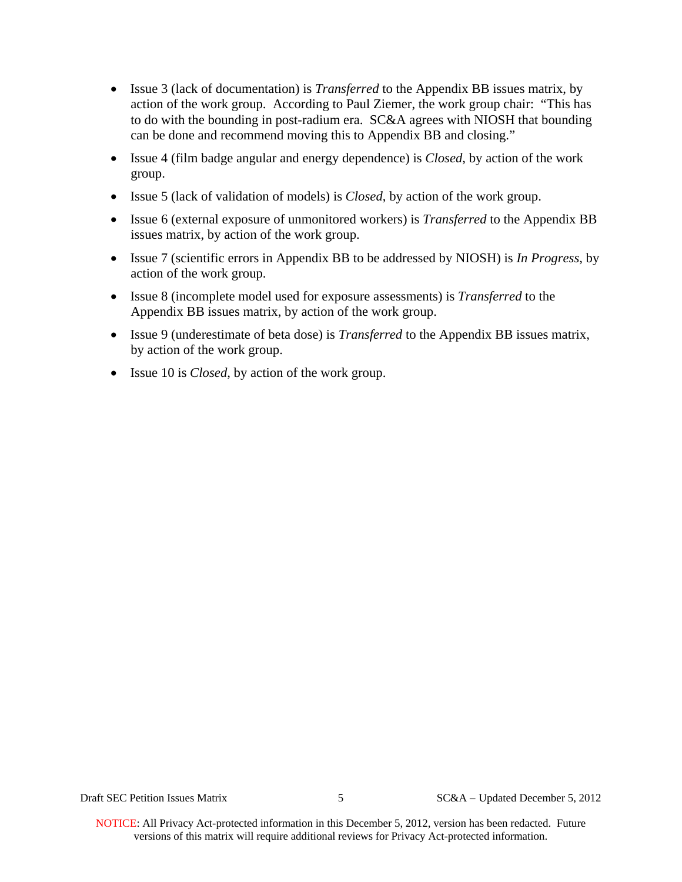- Issue 3 (lack of documentation) is *Transferred* to the Appendix BB issues matrix, by action of the work group. According to Paul Ziemer, the work group chair: "This has to do with the bounding in post-radium era. SC&A agrees with NIOSH that bounding can be done and recommend moving this to Appendix BB and closing."
- Issue 4 (film badge angular and energy dependence) is *Closed*, by action of the work group.
- Issue 5 (lack of validation of models) is *Closed*, by action of the work group.
- Issue 6 (external exposure of unmonitored workers) is *Transferred* to the Appendix BB issues matrix, by action of the work group.
- Issue 7 (scientific errors in Appendix BB to be addressed by NIOSH) is *In Progress*, by action of the work group.
- Issue 8 (incomplete model used for exposure assessments) is *Transferred* to the Appendix BB issues matrix, by action of the work group.
- Issue 9 (underestimate of beta dose) is *Transferred* to the Appendix BB issues matrix, by action of the work group.
- Issue 10 is *Closed*, by action of the work group.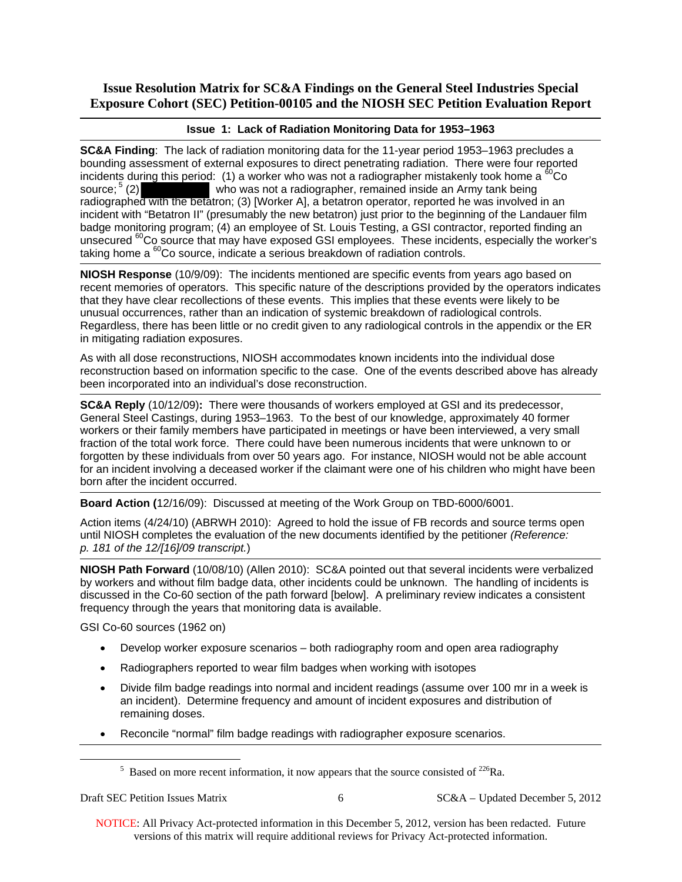### **Issue 1: Lack of Radiation Monitoring Data for 1953–1963**

**SC&A Finding**: The lack of radiation monitoring data for the 11-year period 1953–1963 precludes a bounding assessment of external exposures to direct penetrating radiation. There were four reported incidents during this period: (1) a worker who was not a radiographer mistakenly took home a  ${}^{60}Co$ source;  $5$  (2) who was not a radiographer, remained inside an Army tank being radiographed with the betatron; (3) [Worker A], a betatron operator, reported he was involved in an incident with "Betatron II" (presumably the new betatron) just prior to the beginning of the Landauer film badge monitoring program; (4) an employee of St. Louis Testing, a GSI contractor, reported finding an unsecured <sup>60</sup>Co source that may have exposed GSI employees. These incidents, especially the worker's taking home a  ${}^{60}$ Co source, indicate a serious breakdown of radiation controls.

unusual occurrences, rather than an indication of systemic breakdown of radiological controls. **NIOSH Response** (10/9/09): The incidents mentioned are specific events from years ago based on recent memories of operators. This specific nature of the descriptions provided by the operators indicates that they have clear recollections of these events. This implies that these events were likely to be Regardless, there has been little or no credit given to any radiological controls in the appendix or the ER in mitigating radiation exposures.

As with all dose reconstructions, NIOSH accommodates known incidents into the individual dose reconstruction based on information specific to the case. One of the events described above has already been incorporated into an individual's dose reconstruction.

**SC&A Reply** (10/12/09)**:** There were thousands of workers employed at GSI and its predecessor, General Steel Castings, during 1953–1963. To the best of our knowledge, approximately 40 former workers or their family members have participated in meetings or have been interviewed, a very small fraction of the total work force. There could have been numerous incidents that were unknown to or forgotten by these individuals from over 50 years ago. For instance, NIOSH would not be able account for an incident involving a deceased worker if the claimant were one of his children who might have been born after the incident occurred.

**Board Action (**12/16/09): Discussed at meeting of the Work Group on TBD-6000/6001.

Action items (4/24/10) (ABRWH 2010): Agreed to hold the issue of FB records and source terms open until NIOSH completes the evaluation of the new documents identified by the petitioner *(Reference: p. 181 of the 12/[16]/09 transcript.*)

**NIOSH Path Forward** (10/08/10) (Allen 2010): SC&A pointed out that several incidents were verbalized by workers and without film badge data, other incidents could be unknown. The handling of incidents is discussed in the Co-60 section of the path forward [below]. A preliminary review indicates a consistent frequency through the years that monitoring data is available.

GSI Co-60 sources (1962 on)

- Develop worker exposure scenarios both radiography room and open area radiography
- Radiographers reported to wear film badges when working with isotopes
- Divide film badge readings into normal and incident readings (assume over 100 mr in a week is an incident). Determine frequency and amount of incident exposures and distribution of remaining doses.
- Reconcile "normal" film badge readings with radiographer exposure scenarios.

 $\overline{a}$ 

Draft SEC Petition Issues Matrix 6 SC&A – Updated December 5, 2012

 $5$  Based on more recent information, it now appears that the source consisted of  $226$ Ra.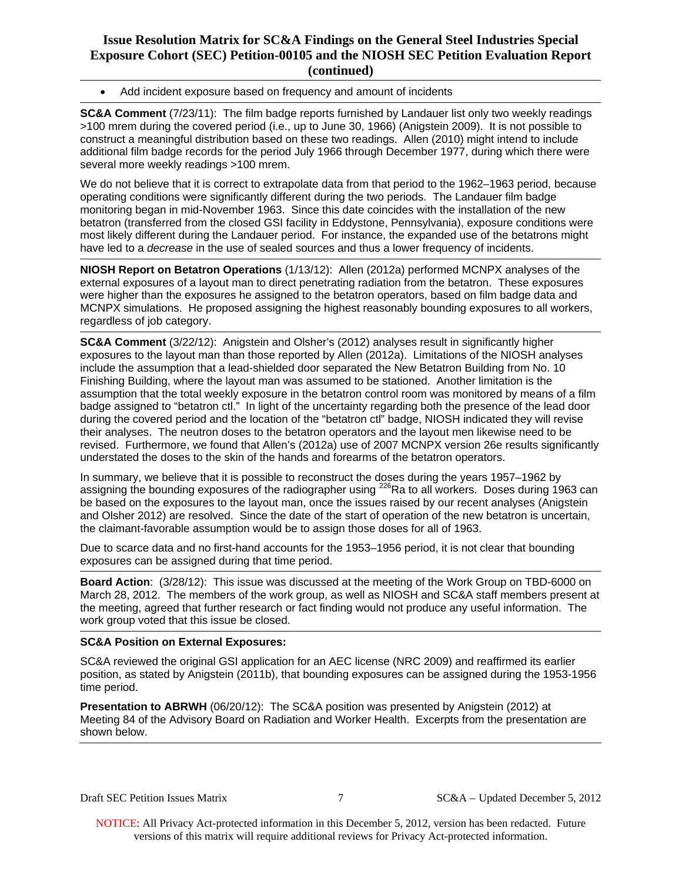Add incident exposure based on frequency and amount of incidents

**SC&A Comment** (7/23/11): The film badge reports furnished by Landauer list only two weekly readings >100 mrem during the covered period (i.e., up to June 30, 1966) (Anigstein 2009). It is not possible to construct a meaningful distribution based on these two readings. Allen (2010) might intend to include additional film badge records for the period July 1966 through December 1977, during which there were several more weekly readings >100 mrem.

We do not believe that it is correct to extrapolate data from that period to the 1962–1963 period, because operating conditions were significantly different during the two periods. The Landauer film badge monitoring began in mid-November 1963. Since this date coincides with the installation of the new betatron (transferred from the closed GSI facility in Eddystone, Pennsylvania), exposure conditions were most likely different during the Landauer period. For instance, the expanded use of the betatrons might have led to a *decrease* in the use of sealed sources and thus a lower frequency of incidents.

**NIOSH Report on Betatron Operations** (1/13/12): Allen (2012a) performed MCNPX analyses of the external exposures of a layout man to direct penetrating radiation from the betatron. These exposures were higher than the exposures he assigned to the betatron operators, based on film badge data and MCNPX simulations. He proposed assigning the highest reasonably bounding exposures to all workers, regardless of job category.

**SC&A Comment** (3/22/12): Anigstein and Olsher's (2012) analyses result in significantly higher exposures to the layout man than those reported by Allen (2012a). Limitations of the NIOSH analyses include the assumption that a lead-shielded door separated the New Betatron Building from No. 10 Finishing Building, where the layout man was assumed to be stationed. Another limitation is the assumption that the total weekly exposure in the betatron control room was monitored by means of a film badge assigned to "betatron ctl." In light of the uncertainty regarding both the presence of the lead door during the covered period and the location of the "betatron ctl" badge, NIOSH indicated they will revise their analyses. The neutron doses to the betatron operators and the layout men likewise need to be revised. Furthermore, we found that Allen's (2012a) use of 2007 MCNPX version 26e results significantly understated the doses to the skin of the hands and forearms of the betatron operators.

In summary, we believe that it is possible to reconstruct the doses during the years 1957–1962 by assigning the bounding exposures of the radiographer using  $^{226}$ Ra to all workers. Doses during 1963 can be based on the exposures to the layout man, once the issues raised by our recent analyses (Anigstein and Olsher 2012) are resolved. Since the date of the start of operation of the new betatron is uncertain, the claimant-favorable assumption would be to assign those doses for all of 1963.

Due to scarce data and no first-hand accounts for the 1953–1956 period, it is not clear that bounding exposures can be assigned during that time period.

**Board Action**: (3/28/12): This issue was discussed at the meeting of the Work Group on TBD-6000 on March 28, 2012. The members of the work group, as well as NIOSH and SC&A staff members present at the meeting, agreed that further research or fact finding would not produce any useful information. The work group voted that this issue be closed.

### **SC&A Position on External Exposures:**

SC&A reviewed the original GSI application for an AEC license (NRC 2009) and reaffirmed its earlier position, as stated by Anigstein (2011b), that bounding exposures can be assigned during the 1953-1956 time period.

**Presentation to ABRWH** (06/20/12): The SC&A position was presented by Anigstein (2012) at Meeting 84 of the Advisory Board on Radiation and Worker Health. Excerpts from the presentation are shown below.

Draft SEC Petition Issues Matrix 7 SC&A – Updated December 5, 2012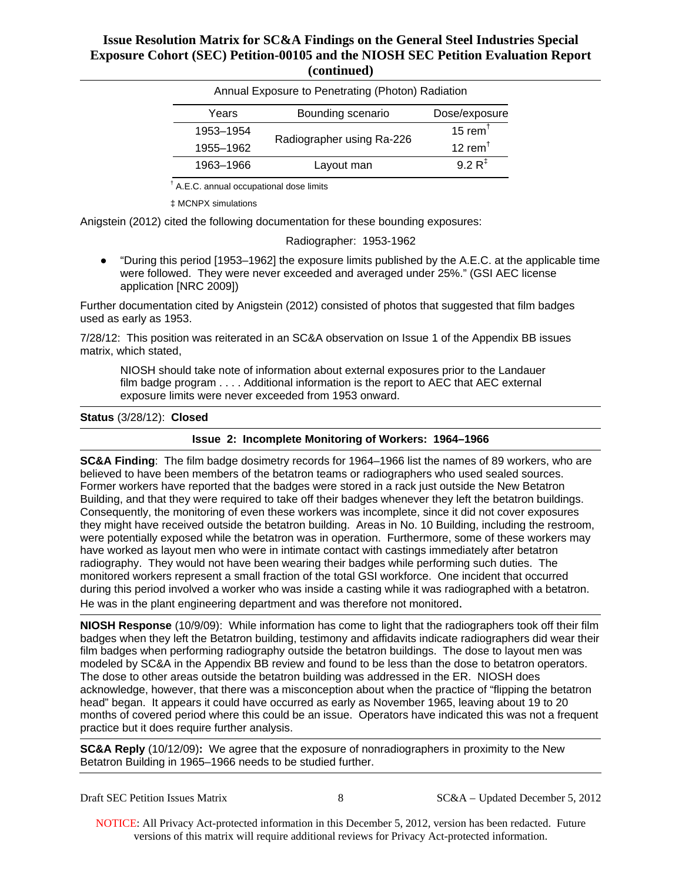| Annual Exposure to Penetrating (Photon) Radiation |                           |                                  |
|---------------------------------------------------|---------------------------|----------------------------------|
| Years                                             | Bounding scenario         | Dose/exposure                    |
| 1953-1954                                         | Radiographer using Ra-226 | 15 rem $†$                       |
| 1955-1962                                         |                           | 12 rem <sup><math>†</math></sup> |
| 1963-1966                                         | Layout man                | $9.2 R^{\ddagger}$               |

† A.E.C. annual occupational dose limits

‡ MCNPX simulations

Anigstein (2012) cited the following documentation for these bounding exposures:

Radiographer: 1953-1962

● "During this period [1953–1962] the exposure limits published by the A.E.C. at the applicable time were followed. They were never exceeded and averaged under 25%." (GSI AEC license application [NRC 2009])

Further documentation cited by Anigstein (2012) consisted of photos that suggested that film badges used as early as 1953.

7/28/12: This position was reiterated in an SC&A observation on Issue 1 of the Appendix BB issues matrix, which stated,

NIOSH should take note of information about external exposures prior to the Landauer film badge program . . . . Additional information is the report to AEC that AEC external exposure limits were never exceeded from 1953 onward.

#### **Status** (3/28/12): **Closed**

#### **Issue 2: Incomplete Monitoring of Workers: 1964–1966**

**SC&A Finding**: The film badge dosimetry records for 1964–1966 list the names of 89 workers, who are believed to have been members of the betatron teams or radiographers who used sealed sources. Former workers have reported that the badges were stored in a rack just outside the New Betatron Building, and that they were required to take off their badges whenever they left the betatron buildings. Consequently, the monitoring of even these workers was incomplete, since it did not cover exposures they might have received outside the betatron building. Areas in No. 10 Building, including the restroom, were potentially exposed while the betatron was in operation. Furthermore, some of these workers may have worked as layout men who were in intimate contact with castings immediately after betatron radiography. They would not have been wearing their badges while performing such duties. The monitored workers represent a small fraction of the total GSI workforce. One incident that occurred during this period involved a worker who was inside a casting while it was radiographed with a betatron. He was in the plant engineering department and was therefore not monitored.

**NIOSH Response** (10/9/09): While information has come to light that the radiographers took off their film badges when they left the Betatron building, testimony and affidavits indicate radiographers did wear their film badges when performing radiography outside the betatron buildings. The dose to layout men was modeled by SC&A in the Appendix BB review and found to be less than the dose to betatron operators. The dose to other areas outside the betatron building was addressed in the ER. NIOSH does acknowledge, however, that there was a misconception about when the practice of "flipping the betatron head" began. It appears it could have occurred as early as November 1965, leaving about 19 to 20 months of covered period where this could be an issue. Operators have indicated this was not a frequent practice but it does require further analysis.

**SC&A Reply** (10/12/09)**:** We agree that the exposure of nonradiographers in proximity to the New Betatron Building in 1965–1966 needs to be studied further.

| <b>Draft SEC Petition Issues Matrix</b> |
|-----------------------------------------|
|                                         |

 $SC&A-Updated December 5, 2012$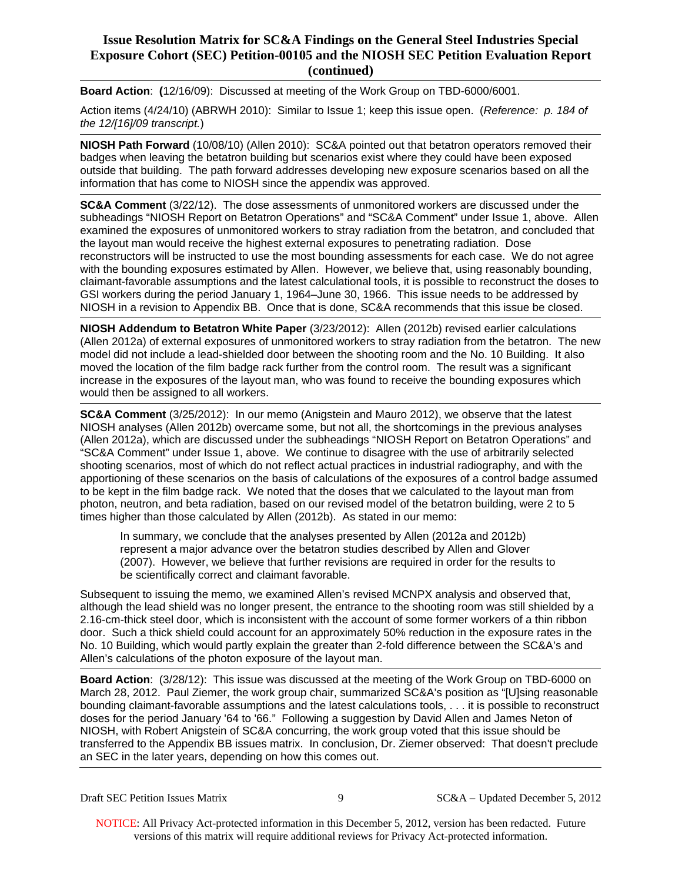**Board Action**: **(**12/16/09): Discussed at meeting of the Work Group on TBD-6000/6001.

Action items (4/24/10) (ABRWH 2010): Similar to Issue 1; keep this issue open. (*Reference: p. 184 of the 12/[16]/09 transcript.*)

**NIOSH Path Forward** (10/08/10) (Allen 2010): SC&A pointed out that betatron operators removed their badges when leaving the betatron building but scenarios exist where they could have been exposed outside that building. The path forward addresses developing new exposure scenarios based on all the information that has come to NIOSH since the appendix was approved.

**SC&A Comment** (3/22/12). The dose assessments of unmonitored workers are discussed under the subheadings "NIOSH Report on Betatron Operations" and "SC&A Comment" under Issue 1, above. Allen examined the exposures of unmonitored workers to stray radiation from the betatron, and concluded that the layout man would receive the highest external exposures to penetrating radiation. Dose reconstructors will be instructed to use the most bounding assessments for each case. We do not agree with the bounding exposures estimated by Allen. However, we believe that, using reasonably bounding, claimant-favorable assumptions and the latest calculational tools, it is possible to reconstruct the doses to GSI workers during the period January 1, 1964–June 30, 1966. This issue needs to be addressed by NIOSH in a revision to Appendix BB. Once that is done, SC&A recommends that this issue be closed.

**NIOSH Addendum to Betatron White Paper** (3/23/2012): Allen (2012b) revised earlier calculations (Allen 2012a) of external exposures of unmonitored workers to stray radiation from the betatron. The new model did not include a lead-shielded door between the shooting room and the No. 10 Building. It also moved the location of the film badge rack further from the control room. The result was a significant increase in the exposures of the layout man, who was found to receive the bounding exposures which would then be assigned to all workers.

**SC&A Comment** (3/25/2012): In our memo (Anigstein and Mauro 2012), we observe that the latest NIOSH analyses (Allen 2012b) overcame some, but not all, the shortcomings in the previous analyses (Allen 2012a), which are discussed under the subheadings "NIOSH Report on Betatron Operations" and "SC&A Comment" under Issue 1, above. We continue to disagree with the use of arbitrarily selected shooting scenarios, most of which do not reflect actual practices in industrial radiography, and with the apportioning of these scenarios on the basis of calculations of the exposures of a control badge assumed to be kept in the film badge rack. We noted that the doses that we calculated to the layout man from photon, neutron, and beta radiation, based on our revised model of the betatron building, were 2 to 5 times higher than those calculated by Allen (2012b). As stated in our memo:

In summary, we conclude that the analyses presented by Allen (2012a and 2012b) represent a major advance over the betatron studies described by Allen and Glover (2007). However, we believe that further revisions are required in order for the results to be scientifically correct and claimant favorable.

Subsequent to issuing the memo, we examined Allen's revised MCNPX analysis and observed that, although the lead shield was no longer present, the entrance to the shooting room was still shielded by a 2.16-cm-thick steel door, which is inconsistent with the account of some former workers of a thin ribbon door. Such a thick shield could account for an approximately 50% reduction in the exposure rates in the No. 10 Building, which would partly explain the greater than 2-fold difference between the SC&A's and Allen's calculations of the photon exposure of the layout man.

**Board Action**: (3/28/12): This issue was discussed at the meeting of the Work Group on TBD-6000 on March 28, 2012. Paul Ziemer, the work group chair, summarized SC&A's position as "[U]sing reasonable bounding claimant-favorable assumptions and the latest calculations tools, . . . it is possible to reconstruct doses for the period January '64 to '66." Following a suggestion by David Allen and James Neton of NIOSH, with Robert Anigstein of SC&A concurring, the work group voted that this issue should be transferred to the Appendix BB issues matrix. In conclusion, Dr. Ziemer observed: That doesn't preclude an SEC in the later years, depending on how this comes out.

Draft SEC Petition Issues Matrix 9 SC&A – Updated December 5, 2012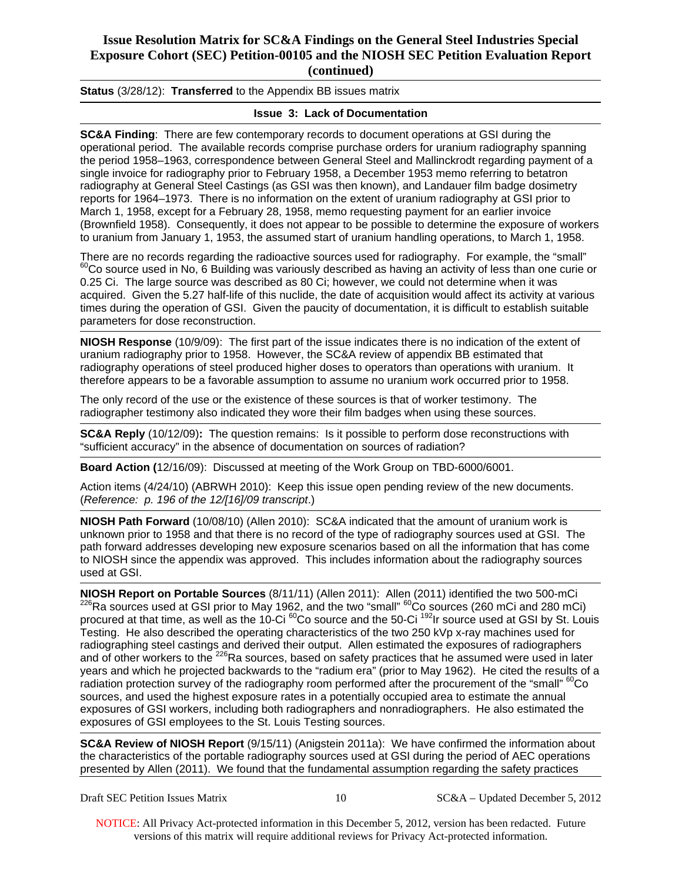**Status** (3/28/12): **Transferred** to the Appendix BB issues matrix

### **Issue 3: Lack of Documentation**

**SC&A Finding**: There are few contemporary records to document operations at GSI during the operational period. The available records comprise purchase orders for uranium radiography spanning the period 1958–1963, correspondence between General Steel and Mallinckrodt regarding payment of a single invoice for radiography prior to February 1958, a December 1953 memo referring to betatron radiography at General Steel Castings (as GSI was then known), and Landauer film badge dosimetry reports for 1964–1973. There is no information on the extent of uranium radiography at GSI prior to March 1, 1958, except for a February 28, 1958, memo requesting payment for an earlier invoice (Brownfield 1958). Consequently, it does not appear to be possible to determine the exposure of workers to uranium from January 1, 1953, the assumed start of uranium handling operations, to March 1, 1958.

There are no records regarding the radioactive sources used for radiography. For example, the "small"  $^{60}$ Co source used in No, 6 Building was variously described as having an activity of less than one curie or 0.25 Ci. The large source was described as 80 Ci; however, we could not determine when it was acquired. Given the 5.27 half-life of this nuclide, the date of acquisition would affect its activity at various times during the operation of GSI. Given the paucity of documentation, it is difficult to establish suitable parameters for dose reconstruction.

**NIOSH Response** (10/9/09): The first part of the issue indicates there is no indication of the extent of uranium radiography prior to 1958. However, the SC&A review of appendix BB estimated that radiography operations of steel produced higher doses to operators than operations with uranium. It therefore appears to be a favorable assumption to assume no uranium work occurred prior to 1958.

The only record of the use or the existence of these sources is that of worker testimony. The radiographer testimony also indicated they wore their film badges when using these sources.

**SC&A Reply** (10/12/09)**:** The question remains: Is it possible to perform dose reconstructions with "sufficient accuracy" in the absence of documentation on sources of radiation?

**Board Action (**12/16/09): Discussed at meeting of the Work Group on TBD-6000/6001.

Action items (4/24/10) (ABRWH 2010): Keep this issue open pending review of the new documents. (*Reference: p. 196 of the 12/[16]/09 transcript*.)

**NIOSH Path Forward** (10/08/10) (Allen 2010): SC&A indicated that the amount of uranium work is unknown prior to 1958 and that there is no record of the type of radiography sources used at GSI. The path forward addresses developing new exposure scenarios based on all the information that has come to NIOSH since the appendix was approved. This includes information about the radiography sources used at GSI.

**NIOSH Report on Portable Sources** (8/11/11) (Allen 2011): Allen (2011) identified the two 500-mCi <sup>226</sup>Ra sources used at GSI prior to May 1962, and the two "small" <sup>60</sup>Co sources (260 mCi and 280 mCi) procured at that time, as well as the 10-Ci 60Co source and the 50-Ci 192Ir source used at GSI by St. Louis Testing. He also described the operating characteristics of the two 250 kVp x-ray machines used for radiographing steel castings and derived their output. Allen estimated the exposures of radiographers and of other workers to the <sup>226</sup>Ra sources, based on safety practices that he assumed were used in later years and which he projected backwards to the "radium era" (prior to May 1962). He cited the results of a radiation protection survey of the radiography room performed after the procurement of the "small" <sup>60</sup>Co sources, and used the highest exposure rates in a potentially occupied area to estimate the annual exposures of GSI workers, including both radiographers and nonradiographers. He also estimated the exposures of GSI employees to the St. Louis Testing sources.

**SC&A Review of NIOSH Report** (9/15/11) (Anigstein 2011a): We have confirmed the information about the characteristics of the portable radiography sources used at GSI during the period of AEC operations presented by Allen (2011). We found that the fundamental assumption regarding the safety practices

Draft SEC Petition Issues Matrix 10 SC&A – Updated December 5, 2012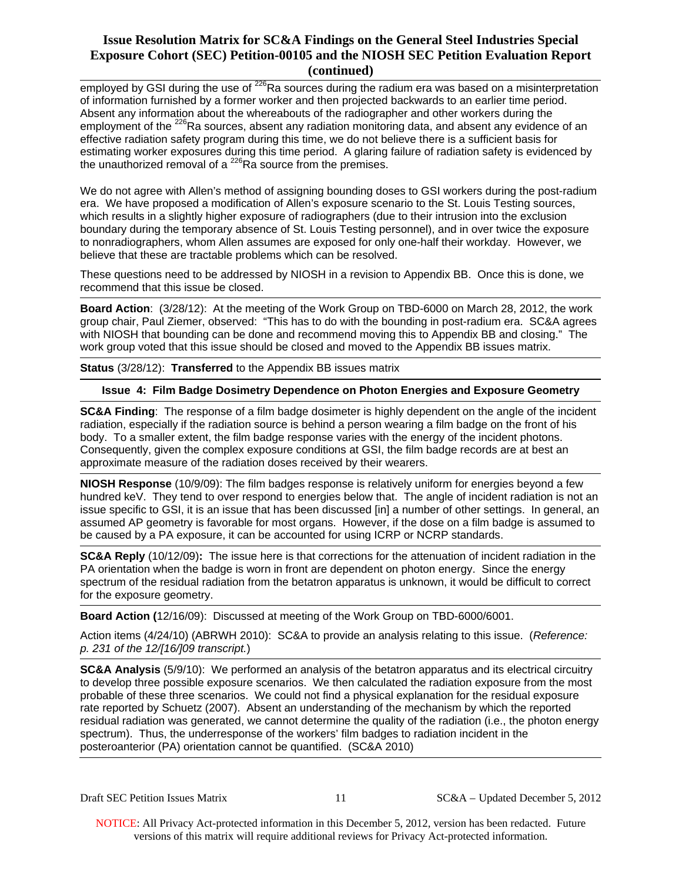employed by GSI during the use of  $^{226}$ Ra sources during the radium era was based on a misinterpretation of information furnished by a former worker and then projected backwards to an earlier time period. Absent any information about the whereabouts of the radiographer and other workers during the employment of the <sup>226</sup>Ra sources, absent any radiation monitoring data, and absent any evidence of an effective radiation safety program during this time, we do not believe there is a sufficient basis for estimating worker exposures during this time period. A glaring failure of radiation safety is evidenced by the unauthorized removal of a  $^{226}$ Ra source from the premises.

We do not agree with Allen's method of assigning bounding doses to GSI workers during the post-radium era. We have proposed a modification of Allen's exposure scenario to the St. Louis Testing sources, which results in a slightly higher exposure of radiographers (due to their intrusion into the exclusion boundary during the temporary absence of St. Louis Testing personnel), and in over twice the exposure to nonradiographers, whom Allen assumes are exposed for only one-half their workday. However, we believe that these are tractable problems which can be resolved.

These questions need to be addressed by NIOSH in a revision to Appendix BB. Once this is done, we recommend that this issue be closed.

**Board Action**: (3/28/12): At the meeting of the Work Group on TBD-6000 on March 28, 2012, the work group chair, Paul Ziemer, observed: "This has to do with the bounding in post-radium era. SC&A agrees with NIOSH that bounding can be done and recommend moving this to Appendix BB and closing." The work group voted that this issue should be closed and moved to the Appendix BB issues matrix.

**Status** (3/28/12): **Transferred** to the Appendix BB issues matrix

#### **Issue 4: Film Badge Dosimetry Dependence on Photon Energies and Exposure Geometry**

**SC&A Finding**: The response of a film badge dosimeter is highly dependent on the angle of the incident radiation, especially if the radiation source is behind a person wearing a film badge on the front of his body. To a smaller extent, the film badge response varies with the energy of the incident photons. Consequently, given the complex exposure conditions at GSI, the film badge records are at best an approximate measure of the radiation doses received by their wearers.

**NIOSH Response** (10/9/09): The film badges response is relatively uniform for energies beyond a few hundred keV. They tend to over respond to energies below that. The angle of incident radiation is not an issue specific to GSI, it is an issue that has been discussed [in] a number of other settings. In general, an assumed AP geometry is favorable for most organs. However, if the dose on a film badge is assumed to be caused by a PA exposure, it can be accounted for using ICRP or NCRP standards.

**SC&A Reply** (10/12/09)**:** The issue here is that corrections for the attenuation of incident radiation in the PA orientation when the badge is worn in front are dependent on photon energy. Since the energy spectrum of the residual radiation from the betatron apparatus is unknown, it would be difficult to correct for the exposure geometry.

**Board Action (**12/16/09): Discussed at meeting of the Work Group on TBD-6000/6001.

Action items (4/24/10) (ABRWH 2010): SC&A to provide an analysis relating to this issue. (*Reference: p. 231 of the 12/[16/]09 transcript.*)

**SC&A Analysis** (5/9/10): We performed an analysis of the betatron apparatus and its electrical circuitry to develop three possible exposure scenarios. We then calculated the radiation exposure from the most probable of these three scenarios. We could not find a physical explanation for the residual exposure rate reported by Schuetz (2007). Absent an understanding of the mechanism by which the reported residual radiation was generated, we cannot determine the quality of the radiation (i.e., the photon energy spectrum). Thus, the underresponse of the workers' film badges to radiation incident in the posteroanterior (PA) orientation cannot be quantified. (SC&A 2010)

Draft SEC Petition Issues Matrix 11 SC&A – Updated December 5, 2012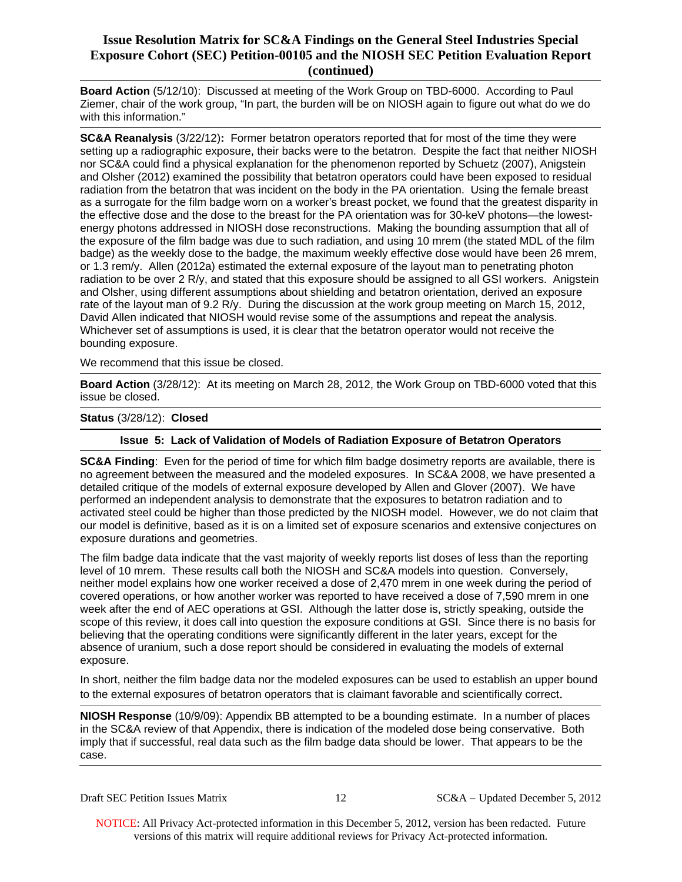**Board Action** (5/12/10): Discussed at meeting of the Work Group on TBD-6000. According to Paul Ziemer, chair of the work group, "In part, the burden will be on NIOSH again to figure out what do we do with this information."

**SC&A Reanalysis** (3/22/12)**:** Former betatron operators reported that for most of the time they were setting up a radiographic exposure, their backs were to the betatron. Despite the fact that neither NIOSH nor SC&A could find a physical explanation for the phenomenon reported by Schuetz (2007), Anigstein and Olsher (2012) examined the possibility that betatron operators could have been exposed to residual radiation from the betatron that was incident on the body in the PA orientation. Using the female breast as a surrogate for the film badge worn on a worker's breast pocket, we found that the greatest disparity in the effective dose and the dose to the breast for the PA orientation was for 30-keV photons—the lowestenergy photons addressed in NIOSH dose reconstructions. Making the bounding assumption that all of the exposure of the film badge was due to such radiation, and using 10 mrem (the stated MDL of the film badge) as the weekly dose to the badge, the maximum weekly effective dose would have been 26 mrem, or 1.3 rem/y. Allen (2012a) estimated the external exposure of the layout man to penetrating photon radiation to be over 2 R/y, and stated that this exposure should be assigned to all GSI workers. Anigstein and Olsher, using different assumptions about shielding and betatron orientation, derived an exposure rate of the layout man of 9.2 R/y. During the discussion at the work group meeting on March 15, 2012, David Allen indicated that NIOSH would revise some of the assumptions and repeat the analysis. Whichever set of assumptions is used, it is clear that the betatron operator would not receive the bounding exposure.

We recommend that this issue be closed.

**Board Action** (3/28/12): At its meeting on March 28, 2012, the Work Group on TBD-6000 voted that this issue be closed.

#### **Status** (3/28/12): **Closed**

#### **Issue 5: Lack of Validation of Models of Radiation Exposure of Betatron Operators**

**SC&A Finding**: Even for the period of time for which film badge dosimetry reports are available, there is no agreement between the measured and the modeled exposures. In SC&A 2008, we have presented a detailed critique of the models of external exposure developed by Allen and Glover (2007). We have performed an independent analysis to demonstrate that the exposures to betatron radiation and to activated steel could be higher than those predicted by the NIOSH model. However, we do not claim that our model is definitive, based as it is on a limited set of exposure scenarios and extensive conjectures on exposure durations and geometries.

The film badge data indicate that the vast majority of weekly reports list doses of less than the reporting level of 10 mrem. These results call both the NIOSH and SC&A models into question. Conversely, neither model explains how one worker received a dose of 2,470 mrem in one week during the period of covered operations, or how another worker was reported to have received a dose of 7,590 mrem in one week after the end of AEC operations at GSI. Although the latter dose is, strictly speaking, outside the scope of this review, it does call into question the exposure conditions at GSI. Since there is no basis for believing that the operating conditions were significantly different in the later years, except for the absence of uranium, such a dose report should be considered in evaluating the models of external exposure.

In short, neither the film badge data nor the modeled exposures can be used to establish an upper bound to the external exposures of betatron operators that is claimant favorable and scientifically correct.

**NIOSH Response** (10/9/09): Appendix BB attempted to be a bounding estimate. In a number of places in the SC&A review of that Appendix, there is indication of the modeled dose being conservative. Both imply that if successful, real data such as the film badge data should be lower. That appears to be the case.

Draft SEC Petition Issues Matrix 12 SC&A – Updated December 5, 2012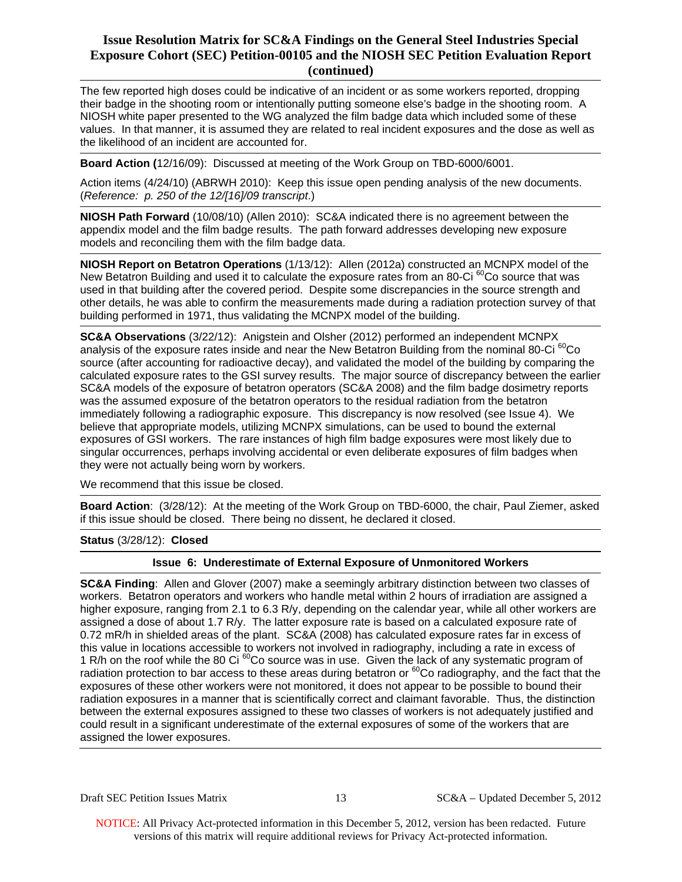The few reported high doses could be indicative of an incident or as some workers reported, dropping their badge in the shooting room or intentionally putting someone else's badge in the shooting room. A NIOSH white paper presented to the WG analyzed the film badge data which included some of these values. In that manner, it is assumed they are related to real incident exposures and the dose as well as the likelihood of an incident are accounted for.

**Board Action (**12/16/09): Discussed at meeting of the Work Group on TBD-6000/6001.

Action items (4/24/10) (ABRWH 2010): Keep this issue open pending analysis of the new documents. (*Reference: p. 250 of the 12/[16]/09 transcript*.)

**NIOSH Path Forward** (10/08/10) (Allen 2010): SC&A indicated there is no agreement between the appendix model and the film badge results. The path forward addresses developing new exposure models and reconciling them with the film badge data.

**NIOSH Report on Betatron Operations** (1/13/12): Allen (2012a) constructed an MCNPX model of the New Betatron Building and used it to calculate the exposure rates from an 80-Ci  ${}^{60}$ Co source that was used in that building after the covered period. Despite some discrepancies in the source strength and other details, he was able to confirm the measurements made during a radiation protection survey of that building performed in 1971, thus validating the MCNPX model of the building.

 calculated exposure rates to the GSI survey results. The major source of discrepancy between the earlier **SC&A Observations** (3/22/12): Anigstein and Olsher (2012) performed an independent MCNPX analysis of the exposure rates inside and near the New Betatron Building from the nominal 80-Ci <sup>60</sup>Co source (after accounting for radioactive decay), and validated the model of the building by comparing the SC&A models of the exposure of betatron operators (SC&A 2008) and the film badge dosimetry reports was the assumed exposure of the betatron operators to the residual radiation from the betatron immediately following a radiographic exposure. This discrepancy is now resolved (see Issue 4). We believe that appropriate models, utilizing MCNPX simulations, can be used to bound the external exposures of GSI workers. The rare instances of high film badge exposures were most likely due to singular occurrences, perhaps involving accidental or even deliberate exposures of film badges when they were not actually being worn by workers.

We recommend that this issue be closed.

**Board Action**: (3/28/12): At the meeting of the Work Group on TBD-6000, the chair, Paul Ziemer, asked if this issue should be closed. There being no dissent, he declared it closed.

**Status** (3/28/12): **Closed** 

#### **Issue 6: Underestimate of External Exposure of Unmonitored Workers**

**SC&A Finding**: Allen and Glover (2007) make a seemingly arbitrary distinction between two classes of workers. Betatron operators and workers who handle metal within 2 hours of irradiation are assigned a higher exposure, ranging from 2.1 to 6.3 R/y, depending on the calendar year, while all other workers are assigned a dose of about 1.7 R/y. The latter exposure rate is based on a calculated exposure rate of 0.72 mR/h in shielded areas of the plant. SC&A (2008) has calculated exposure rates far in excess of this value in locations accessible to workers not involved in radiography, including a rate in excess of 1 R/h on the roof while the 80 Ci  ${}^{60}$ Co source was in use. Given the lack of any systematic program of radiation protection to bar access to these areas during betatron or <sup>60</sup>Co radiography, and the fact that the exposures of these other workers were not monitored, it does not appear to be possible to bound their radiation exposures in a manner that is scientifically correct and claimant favorable. Thus, the distinction between the external exposures assigned to these two classes of workers is not adequately justified and could result in a significant underestimate of the external exposures of some of the workers that are assigned the lower exposures.

Draft SEC Petition Issues Matrix 13 SC&A – Updated December 5, 2012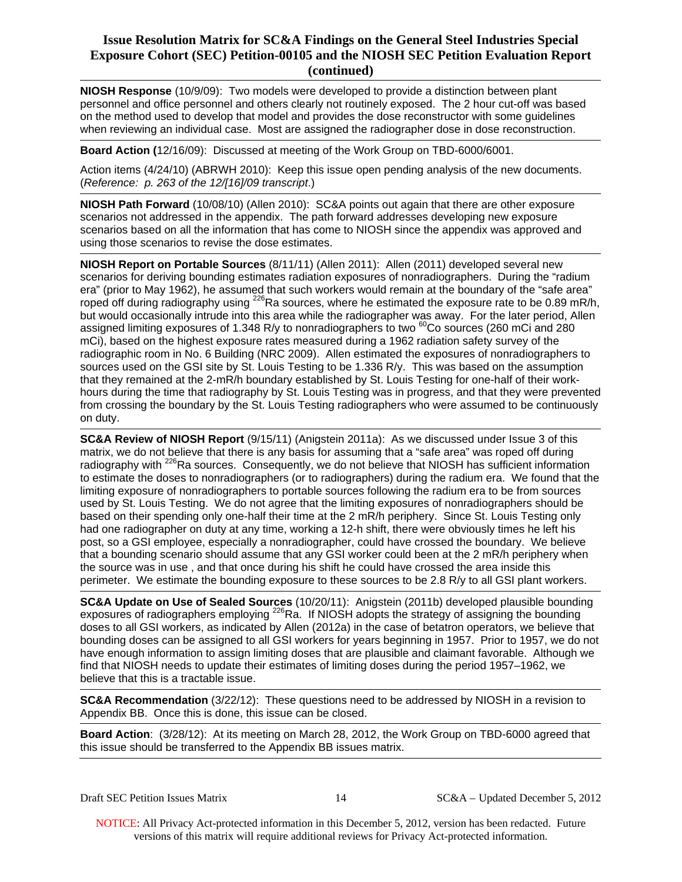**NIOSH Response** (10/9/09): Two models were developed to provide a distinction between plant personnel and office personnel and others clearly not routinely exposed. The 2 hour cut-off was based on the method used to develop that model and provides the dose reconstructor with some guidelines when reviewing an individual case. Most are assigned the radiographer dose in dose reconstruction.

**Board Action (**12/16/09): Discussed at meeting of the Work Group on TBD-6000/6001.

Action items (4/24/10) (ABRWH 2010): Keep this issue open pending analysis of the new documents. (*Reference: p. 263 of the 12/[16]/09 transcript*.)

**NIOSH Path Forward** (10/08/10) (Allen 2010): SC&A points out again that there are other exposure scenarios not addressed in the appendix. The path forward addresses developing new exposure scenarios based on all the information that has come to NIOSH since the appendix was approved and using those scenarios to revise the dose estimates.

**NIOSH Report on Portable Sources** (8/11/11) (Allen 2011): Allen (2011) developed several new scenarios for deriving bounding estimates radiation exposures of nonradiographers. During the "radium era" (prior to May 1962), he assumed that such workers would remain at the boundary of the "safe area" roped off during radiography using <sup>226</sup>Ra sources, where he estimated the exposure rate to be 0.89 mR/h, but would occasionally intrude into this area while the radiographer was away. For the later period, Allen assigned limiting exposures of 1.348 R/y to nonradiographers to two  ${}^{60}$ Co sources (260 mCi and 280 mCi), based on the highest exposure rates measured during a 1962 radiation safety survey of the radiographic room in No. 6 Building (NRC 2009). Allen estimated the exposures of nonradiographers to sources used on the GSI site by St. Louis Testing to be 1.336 R/y. This was based on the assumption that they remained at the 2-mR/h boundary established by St. Louis Testing for one-half of their workhours during the time that radiography by St. Louis Testing was in progress, and that they were prevented from crossing the boundary by the St. Louis Testing radiographers who were assumed to be continuously on duty.

**SC&A Review of NIOSH Report** (9/15/11) (Anigstein 2011a): As we discussed under Issue 3 of this matrix, we do not believe that there is any basis for assuming that a "safe area" was roped off during radiography with <sup>226</sup>Ra sources. Consequently, we do not believe that NIOSH has sufficient information to estimate the doses to nonradiographers (or to radiographers) during the radium era. We found that the limiting exposure of nonradiographers to portable sources following the radium era to be from sources used by St. Louis Testing. We do not agree that the limiting exposures of nonradiographers should be based on their spending only one-half their time at the 2 mR/h periphery. Since St. Louis Testing only had one radiographer on duty at any time, working a 12-h shift, there were obviously times he left his post, so a GSI employee, especially a nonradiographer, could have crossed the boundary. We believe that a bounding scenario should assume that any GSI worker could been at the 2 mR/h periphery when the source was in use , and that once during his shift he could have crossed the area inside this perimeter. We estimate the bounding exposure to these sources to be 2.8 R/y to all GSI plant workers.

**SC&A Update on Use of Sealed Sources** (10/20/11): Anigstein (2011b) developed plausible bounding exposures of radiographers employing <sup>226</sup>Ra. If NIOSH adopts the strategy of assigning the bounding doses to all GSI workers, as indicated by Allen (2012a) in the case of betatron operators, we believe that bounding doses can be assigned to all GSI workers for years beginning in 1957. Prior to 1957, we do not have enough information to assign limiting doses that are plausible and claimant favorable. Although we find that NIOSH needs to update their estimates of limiting doses during the period 1957–1962, we believe that this is a tractable issue.

**SC&A Recommendation** (3/22/12): These questions need to be addressed by NIOSH in a revision to Appendix BB. Once this is done, this issue can be closed.

**Board Action**: (3/28/12): At its meeting on March 28, 2012, the Work Group on TBD-6000 agreed that this issue should be transferred to the Appendix BB issues matrix.

Draft SEC Petition Issues Matrix 14 SC&A – Updated December 5, 2012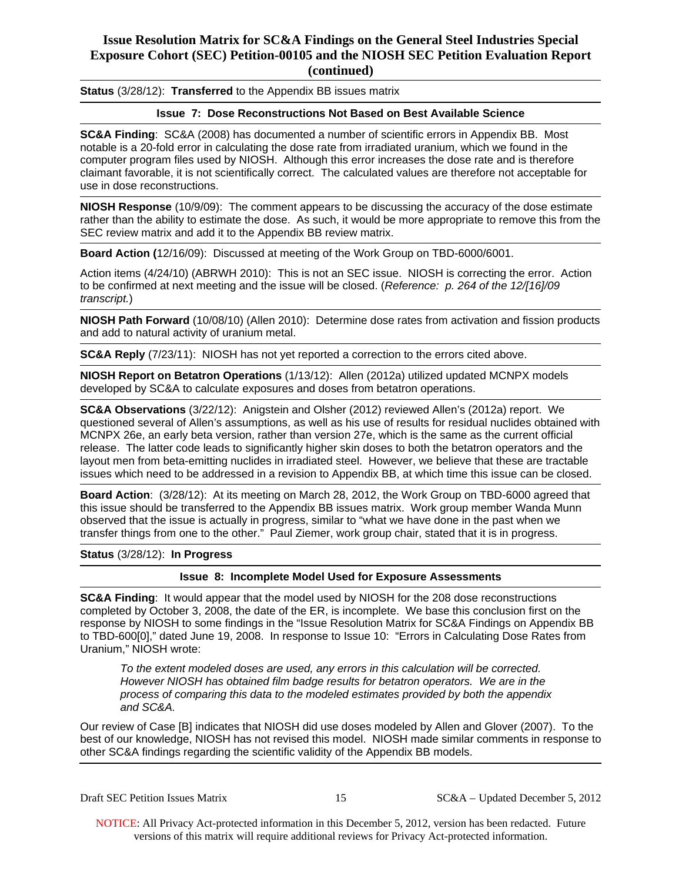**Status** (3/28/12): **Transferred** to the Appendix BB issues matrix

### **Issue 7: Dose Reconstructions Not Based on Best Available Science**

**SC&A Finding**: SC&A (2008) has documented a number of scientific errors in Appendix BB. Most notable is a 20-fold error in calculating the dose rate from irradiated uranium, which we found in the computer program files used by NIOSH. Although this error increases the dose rate and is therefore claimant favorable, it is not scientifically correct. The calculated values are therefore not acceptable for use in dose reconstructions.

**NIOSH Response** (10/9/09): The comment appears to be discussing the accuracy of the dose estimate rather than the ability to estimate the dose. As such, it would be more appropriate to remove this from the SEC review matrix and add it to the Appendix BB review matrix.

**Board Action (**12/16/09): Discussed at meeting of the Work Group on TBD-6000/6001.

Action items (4/24/10) (ABRWH 2010): This is not an SEC issue. NIOSH is correcting the error. Action to be confirmed at next meeting and the issue will be closed. (*Reference: p. 264 of the 12/[16]/09 transcript.*)

**NIOSH Path Forward** (10/08/10) (Allen 2010): Determine dose rates from activation and fission products and add to natural activity of uranium metal.

**SC&A Reply** (7/23/11): NIOSH has not yet reported a correction to the errors cited above.

**NIOSH Report on Betatron Operations** (1/13/12): Allen (2012a) utilized updated MCNPX models developed by SC&A to calculate exposures and doses from betatron operations.

**SC&A Observations** (3/22/12): Anigstein and Olsher (2012) reviewed Allen's (2012a) report. We questioned several of Allen's assumptions, as well as his use of results for residual nuclides obtained with MCNPX 26e, an early beta version, rather than version 27e, which is the same as the current official release. The latter code leads to significantly higher skin doses to both the betatron operators and the layout men from beta-emitting nuclides in irradiated steel. However, we believe that these are tractable issues which need to be addressed in a revision to Appendix BB, at which time this issue can be closed.

**Board Action**: (3/28/12): At its meeting on March 28, 2012, the Work Group on TBD-6000 agreed that this issue should be transferred to the Appendix BB issues matrix. Work group member Wanda Munn observed that the issue is actually in progress, similar to "what we have done in the past when we transfer things from one to the other." Paul Ziemer, work group chair, stated that it is in progress.

#### **Status** (3/28/12): **In Progress**

### **Issue 8: Incomplete Model Used for Exposure Assessments**

**SC&A Finding**: It would appear that the model used by NIOSH for the 208 dose reconstructions completed by October 3, 2008, the date of the ER, is incomplete. We base this conclusion first on the response by NIOSH to some findings in the "Issue Resolution Matrix for SC&A Findings on Appendix BB to TBD-600[0]," dated June 19, 2008. In response to Issue 10: "Errors in Calculating Dose Rates from Uranium," NIOSH wrote:

*To the extent modeled doses are used, any errors in this calculation will be corrected. However NIOSH has obtained film badge results for betatron operators. We are in the process of comparing this data to the modeled estimates provided by both the appendix and SC&A.* 

Our review of Case [B] indicates that NIOSH did use doses modeled by Allen and Glover (2007). To the best of our knowledge, NIOSH has not revised this model. NIOSH made similar comments in response to other SC&A findings regarding the scientific validity of the Appendix BB models.

Draft SEC Petition Issues Matrix 15 SC&A – Updated December 5, 2012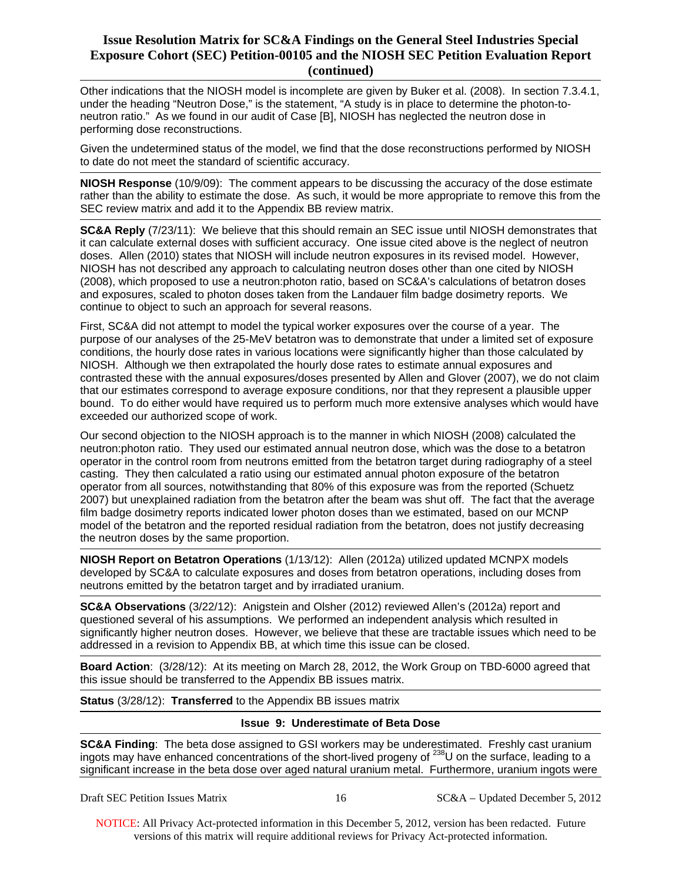Other indications that the NIOSH model is incomplete are given by Buker et al. (2008). In section 7.3.4.1, under the heading "Neutron Dose," is the statement, "A study is in place to determine the photon-toneutron ratio." As we found in our audit of Case [B], NIOSH has neglected the neutron dose in performing dose reconstructions.

Given the undetermined status of the model, we find that the dose reconstructions performed by NIOSH to date do not meet the standard of scientific accuracy.

**NIOSH Response** (10/9/09): The comment appears to be discussing the accuracy of the dose estimate rather than the ability to estimate the dose. As such, it would be more appropriate to remove this from the SEC review matrix and add it to the Appendix BB review matrix.

**SC&A Reply** (7/23/11): We believe that this should remain an SEC issue until NIOSH demonstrates that it can calculate external doses with sufficient accuracy. One issue cited above is the neglect of neutron doses. Allen (2010) states that NIOSH will include neutron exposures in its revised model. However, NIOSH has not described any approach to calculating neutron doses other than one cited by NIOSH (2008), which proposed to use a neutron:photon ratio, based on SC&A's calculations of betatron doses and exposures, scaled to photon doses taken from the Landauer film badge dosimetry reports. We continue to object to such an approach for several reasons.

 exceeded our authorized scope of work. First, SC&A did not attempt to model the typical worker exposures over the course of a year. The purpose of our analyses of the 25-MeV betatron was to demonstrate that under a limited set of exposure conditions, the hourly dose rates in various locations were significantly higher than those calculated by NIOSH. Although we then extrapolated the hourly dose rates to estimate annual exposures and contrasted these with the annual exposures/doses presented by Allen and Glover (2007), we do not claim that our estimates correspond to average exposure conditions, nor that they represent a plausible upper bound. To do either would have required us to perform much more extensive analyses which would have

Our second objection to the NIOSH approach is to the manner in which NIOSH (2008) calculated the neutron:photon ratio. They used our estimated annual neutron dose, which was the dose to a betatron operator in the control room from neutrons emitted from the betatron target during radiography of a steel casting. They then calculated a ratio using our estimated annual photon exposure of the betatron operator from all sources, notwithstanding that 80% of this exposure was from the reported (Schuetz 2007) but unexplained radiation from the betatron after the beam was shut off. The fact that the average film badge dosimetry reports indicated lower photon doses than we estimated, based on our MCNP model of the betatron and the reported residual radiation from the betatron, does not justify decreasing the neutron doses by the same proportion.

**NIOSH Report on Betatron Operations** (1/13/12): Allen (2012a) utilized updated MCNPX models developed by SC&A to calculate exposures and doses from betatron operations, including doses from neutrons emitted by the betatron target and by irradiated uranium.

**SC&A Observations** (3/22/12): Anigstein and Olsher (2012) reviewed Allen's (2012a) report and questioned several of his assumptions. We performed an independent analysis which resulted in significantly higher neutron doses. However, we believe that these are tractable issues which need to be addressed in a revision to Appendix BB, at which time this issue can be closed.

**Board Action**: (3/28/12): At its meeting on March 28, 2012, the Work Group on TBD-6000 agreed that this issue should be transferred to the Appendix BB issues matrix.

#### **Status** (3/28/12): **Transferred** to the Appendix BB issues matrix

#### **Issue 9: Underestimate of Beta Dose**

**SC&A Finding**: The beta dose assigned to GSI workers may be underestimated. Freshly cast uranium ingots may have enhanced concentrations of the short-lived progeny of  $^{238}$ U on the surface, leading to a significant increase in the beta dose over aged natural uranium metal. Furthermore, uranium ingots were

Draft SEC Petition Issues Matrix 16 16 SC&A – Updated December 5, 2012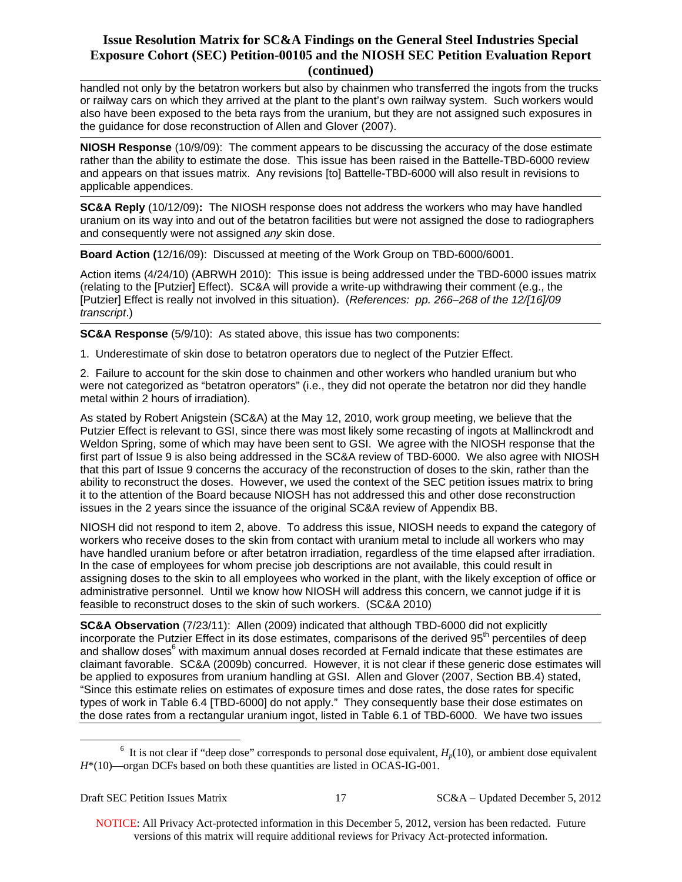handled not only by the betatron workers but also by chainmen who transferred the ingots from the trucks or railway cars on which they arrived at the plant to the plant's own railway system. Such workers would also have been exposed to the beta rays from the uranium, but they are not assigned such exposures in the guidance for dose reconstruction of Allen and Glover (2007).

**NIOSH Response** (10/9/09): The comment appears to be discussing the accuracy of the dose estimate rather than the ability to estimate the dose. This issue has been raised in the Battelle-TBD-6000 review and appears on that issues matrix. Any revisions [to] Battelle-TBD-6000 will also result in revisions to applicable appendices.

**SC&A Reply** (10/12/09)**:** The NIOSH response does not address the workers who may have handled uranium on its way into and out of the betatron facilities but were not assigned the dose to radiographers and consequently were not assigned *any* skin dose.

**Board Action (**12/16/09): Discussed at meeting of the Work Group on TBD-6000/6001.

Action items (4/24/10) (ABRWH 2010): This issue is being addressed under the TBD-6000 issues matrix (relating to the [Putzier] Effect). SC&A will provide a write-up withdrawing their comment (e.g., the [Putzier] Effect is really not involved in this situation). (*References: pp. 266–268 of the 12/[16]/09 transcript*.)

**SC&A Response** (5/9/10): As stated above, this issue has two components:

1. Underestimate of skin dose to betatron operators due to neglect of the Putzier Effect.

2. Failure to account for the skin dose to chainmen and other workers who handled uranium but who were not categorized as "betatron operators" (i.e., they did not operate the betatron nor did they handle metal within 2 hours of irradiation).

As stated by Robert Anigstein (SC&A) at the May 12, 2010, work group meeting, we believe that the Putzier Effect is relevant to GSI, since there was most likely some recasting of ingots at Mallinckrodt and Weldon Spring, some of which may have been sent to GSI. We agree with the NIOSH response that the first part of Issue 9 is also being addressed in the SC&A review of TBD-6000. We also agree with NIOSH that this part of Issue 9 concerns the accuracy of the reconstruction of doses to the skin, rather than the ability to reconstruct the doses. However, we used the context of the SEC petition issues matrix to bring it to the attention of the Board because NIOSH has not addressed this and other dose reconstruction issues in the 2 years since the issuance of the original SC&A review of Appendix BB.

NIOSH did not respond to item 2, above. To address this issue, NIOSH needs to expand the category of workers who receive doses to the skin from contact with uranium metal to include all workers who may have handled uranium before or after betatron irradiation, regardless of the time elapsed after irradiation. In the case of employees for whom precise job descriptions are not available, this could result in assigning doses to the skin to all employees who worked in the plant, with the likely exception of office or administrative personnel. Until we know how NIOSH will address this concern, we cannot judge if it is feasible to reconstruct doses to the skin of such workers. (SC&A 2010)

**SC&A Observation** (7/23/11): Allen (2009) indicated that although TBD-6000 did not explicitly incorporate the Putzier Effect in its dose estimates, comparisons of the derived 95<sup>th</sup> percentiles of deep and shallow doses<sup>6</sup> with maximum annual doses recorded at Fernald indicate that these estimates are claimant favorable. SC&A (2009b) concurred. However, it is not clear if these generic dose estimates will be applied to exposures from uranium handling at GSI. Allen and Glover (2007, Section BB.4) stated, "Since this estimate relies on estimates of exposure times and dose rates, the dose rates for specific types of work in Table 6.4 [TBD-6000] do not apply." They consequently base their dose estimates on the dose rates from a rectangular uranium ingot, listed in Table 6.1 of TBD-6000. We have two issues

 $\overline{a}$ 

<sup>&</sup>lt;sup>6</sup> It is not clear if "deep dose" corresponds to personal dose equivalent,  $H_p(10)$ , or ambient dose equivalent *H*\*(10)—organ DCFs based on both these quantities are listed in OCAS-IG-001.

Draft SEC Petition Issues Matrix 17 SC&A – Updated December 5, 2012

NOTICE: All Privacy Act-protected information in this December 5, 2012, version has been redacted. Future versions of this matrix will require additional reviews for Privacy Act-protected information.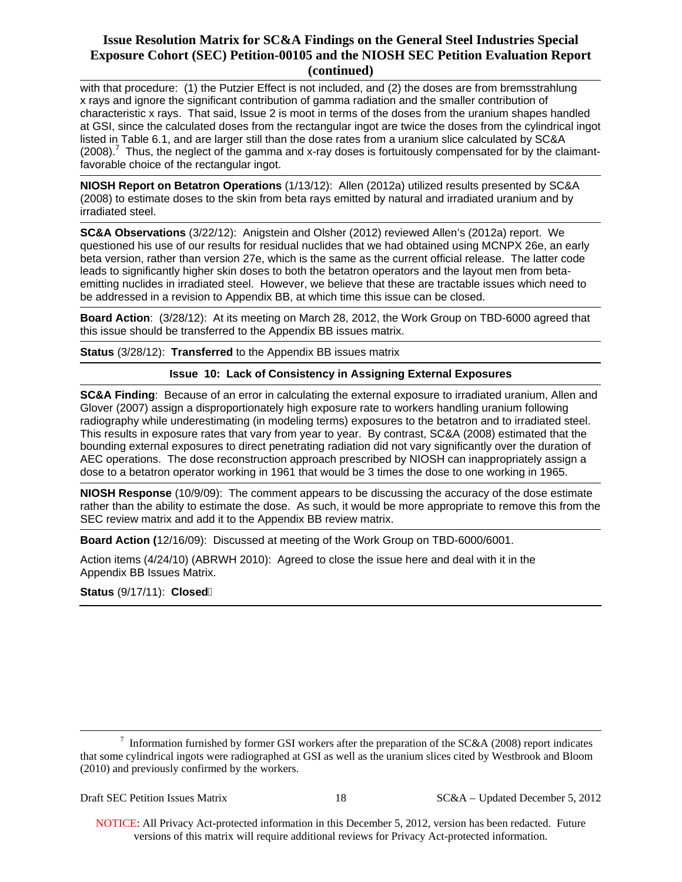with that procedure: (1) the Putzier Effect is not included, and (2) the doses are from bremsstrahlung x rays and ignore the significant contribution of gamma radiation and the smaller contribution of characteristic x rays. That said, Issue 2 is moot in terms of the doses from the uranium shapes handled at GSI, since the calculated doses from the rectangular ingot are twice the doses from the cylindrical ingot listed in Table 6.1, and are larger still than the dose rates from a uranium slice calculated by SC&A  $(2008).$ <sup>7</sup> Thus, the neglect of the gamma and x-ray doses is fortuitously compensated for by the claimantfavorable choice of the rectangular ingot.

**NIOSH Report on Betatron Operations** (1/13/12): Allen (2012a) utilized results presented by SC&A (2008) to estimate doses to the skin from beta rays emitted by natural and irradiated uranium and by irradiated steel.

**SC&A Observations** (3/22/12): Anigstein and Olsher (2012) reviewed Allen's (2012a) report. We questioned his use of our results for residual nuclides that we had obtained using MCNPX 26e, an early beta version, rather than version 27e, which is the same as the current official release. The latter code leads to significantly higher skin doses to both the betatron operators and the layout men from betaemitting nuclides in irradiated steel. However, we believe that these are tractable issues which need to be addressed in a revision to Appendix BB, at which time this issue can be closed.

**Board Action**: (3/28/12): At its meeting on March 28, 2012, the Work Group on TBD-6000 agreed that this issue should be transferred to the Appendix BB issues matrix.

**Status** (3/28/12): **Transferred** to the Appendix BB issues matrix

### **Issue 10: Lack of Consistency in Assigning External Exposures**

**SC&A Finding**: Because of an error in calculating the external exposure to irradiated uranium, Allen and Glover (2007) assign a disproportionately high exposure rate to workers handling uranium following radiography while underestimating (in modeling terms) exposures to the betatron and to irradiated steel. This results in exposure rates that vary from year to year. By contrast, SC&A (2008) estimated that the bounding external exposures to direct penetrating radiation did not vary significantly over the duration of AEC operations. The dose reconstruction approach prescribed by NIOSH can inappropriately assign a dose to a betatron operator working in 1961 that would be 3 times the dose to one working in 1965.

**NIOSH Response** (10/9/09): The comment appears to be discussing the accuracy of the dose estimate rather than the ability to estimate the dose. As such, it would be more appropriate to remove this from the SEC review matrix and add it to the Appendix BB review matrix.

**Board Action (**12/16/09): Discussed at meeting of the Work Group on TBD-6000/6001.

Action items (4/24/10) (ABRWH 2010): Agreed to close the issue here and deal with it in the Appendix BB Issues Matrix.

**Status** (9/17/11): **Closed**�

 $\overline{a}$ 

 that some cylindrical ingots were radiographed at GSI as well as the uranium slices cited by Westbrook and Bloom <sup>7</sup> Information furnished by former GSI workers after the preparation of the SC&A (2008) report indicates (2010) and previously confirmed by the workers.

Draft SEC Petition Issues Matrix 18 SC&A – Updated December 5, 2012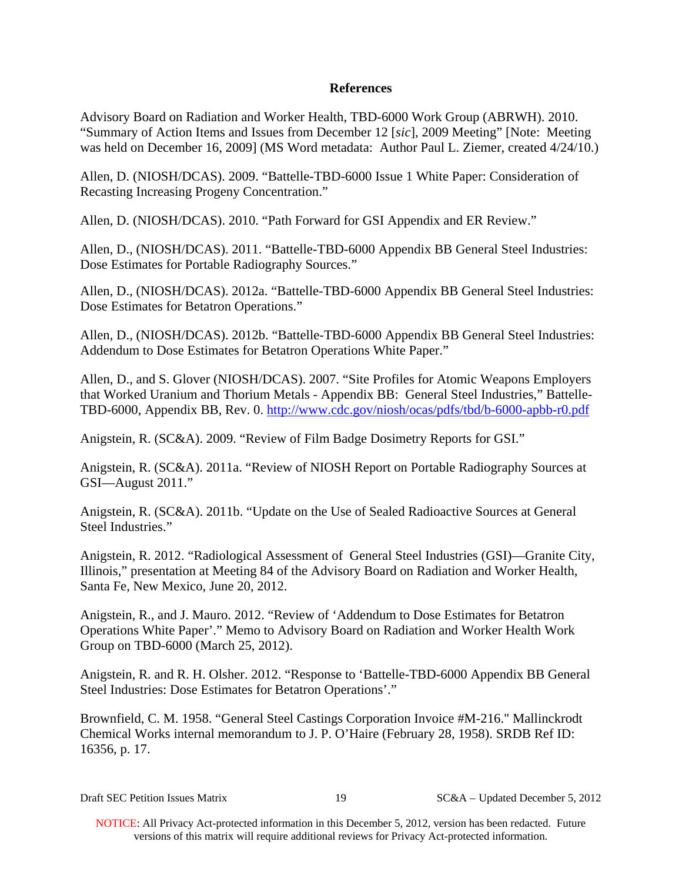# **References**

Advisory Board on Radiation and Worker Health, TBD-6000 Work Group (ABRWH). 2010. "Summary of Action Items and Issues from December 12 [*sic*], 2009 Meeting" [Note: Meeting was held on December 16, 2009] (MS Word metadata: Author Paul L. Ziemer, created 4/24/10.)

Allen, D. (NIOSH/DCAS). 2009. "Battelle-TBD-6000 Issue 1 White Paper: Consideration of Recasting Increasing Progeny Concentration."

Allen, D. (NIOSH/DCAS). 2010. "Path Forward for GSI Appendix and ER Review."

Allen, D., (NIOSH/DCAS). 2011. "Battelle-TBD-6000 Appendix BB General Steel Industries: Dose Estimates for Portable Radiography Sources."

Allen, D., (NIOSH/DCAS). 2012a. "Battelle-TBD-6000 Appendix BB General Steel Industries: Dose Estimates for Betatron Operations."

Allen, D., (NIOSH/DCAS). 2012b. "Battelle-TBD-6000 Appendix BB General Steel Industries: Addendum to Dose Estimates for Betatron Operations White Paper."

Allen, D., and S. Glover (NIOSH/DCAS). 2007. "Site Profiles for Atomic Weapons Employers that Worked Uranium and Thorium Metals - Appendix BB: General Steel Industries," Battelle-TBD-6000, Appendix BB, Rev. 0. http://www.cdc.gov/niosh/ocas/pdfs/tbd/b-6000-apbb-r0.pdf

Anigstein, R. (SC&A). 2009. "Review of Film Badge Dosimetry Reports for GSI."

Anigstein, R. (SC&A). 2011a. "Review of NIOSH Report on Portable Radiography Sources at GSI—August 2011."

Anigstein, R. (SC&A). 2011b. "Update on the Use of Sealed Radioactive Sources at General Steel Industries."

Anigstein, R. 2012. "Radiological Assessment of General Steel Industries (GSI)—Granite City, Illinois," presentation at Meeting 84 of the Advisory Board on Radiation and Worker Health, Santa Fe, New Mexico, June 20, 2012.

Anigstein, R., and J. Mauro. 2012. "Review of 'Addendum to Dose Estimates for Betatron Operations White Paper'." Memo to Advisory Board on Radiation and Worker Health Work Group on TBD-6000 (March 25, 2012).

Anigstein, R. and R. H. Olsher. 2012. "Response to 'Battelle-TBD-6000 Appendix BB General Steel Industries: Dose Estimates for Betatron Operations'."

Brownfield, C. M. 1958. "General Steel Castings Corporation Invoice #M-216." Mallinckrodt Chemical Works internal memorandum to J. P. O'Haire (February 28, 1958). SRDB Ref ID: 16356, p. 17.

Draft SEC Petition Issues Matrix 19 SC&A – Updated December 5, 2012

NOTICE: All Privacy Act-protected information in this December 5, 2012, version has been redacted. Future versions of this matrix will require additional reviews for Privacy Act-protected information.